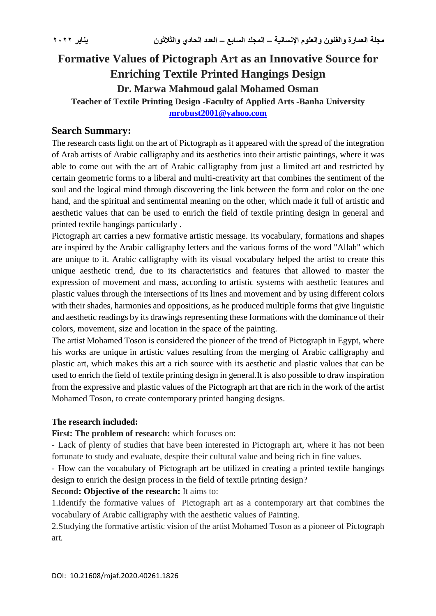# **Formative Values of Pictograph Art as an Innovative Source for Enriching Textile Printed Hangings Design Dr. Marwa Mahmoud galal Mohamed Osman Teacher of Textile Printing Design -Faculty of Applied Arts -Banha University [mrobust2001@yahoo.com](mailto:mrobust2001@yahoo.com)**

#### **Search Summary:**

The research casts light on the art of Pictograph as it appeared with the spread of the integration of Arab artists of Arabic calligraphy and its aesthetics into their artistic paintings, where it was able to come out with the art of Arabic calligraphy from just a limited art and restricted by certain geometric forms to a liberal and multi-creativity art that combines the sentiment of the soul and the logical mind through discovering the link between the form and color on the one hand, and the spiritual and sentimental meaning on the other, which made it full of artistic and aesthetic values that can be used to enrich the field of textile printing design in general and printed textile hangings particularly .

Pictograph art carries a new formative artistic message. Its vocabulary, formations and shapes are inspired by the Arabic calligraphy letters and the various forms of the word "Allah" which are unique to it. Arabic calligraphy with its visual vocabulary helped the artist to create this unique aesthetic trend, due to its characteristics and features that allowed to master the expression of movement and mass, according to artistic systems with aesthetic features and plastic values through the intersections of its lines and movement and by using different colors with their shades, harmonies and oppositions, as he produced multiple forms that give linguistic and aesthetic readings by its drawings representing these formations with the dominance of their colors, movement, size and location in the space of the painting.

The artist Mohamed Toson is considered the pioneer of the trend of Pictograph in Egypt, where his works are unique in artistic values resulting from the merging of Arabic calligraphy and plastic art, which makes this art a rich source with its aesthetic and plastic values that can be used to enrich the field of textile printing design in general.It is also possible to draw inspiration from the expressive and plastic values of the Pictograph art that are rich in the work of the artist Mohamed Toson, to create contemporary printed hanging designs.

#### **The research included:**

**First: The problem of research:** which focuses on:

- Lack of plenty of studies that have been interested in Pictograph art, where it has not been fortunate to study and evaluate, despite their cultural value and being rich in fine values.

- How can the vocabulary of Pictograph art be utilized in creating a printed textile hangings design to enrich the design process in the field of textile printing design?

#### **Second: Objective of the research:** It aims to:

1.Identify the formative values of Pictograph art as a contemporary art that combines the vocabulary of Arabic calligraphy with the aesthetic values of Painting.

2.Studying the formative artistic vision of the artist Mohamed Toson as a pioneer of Pictograph art*.*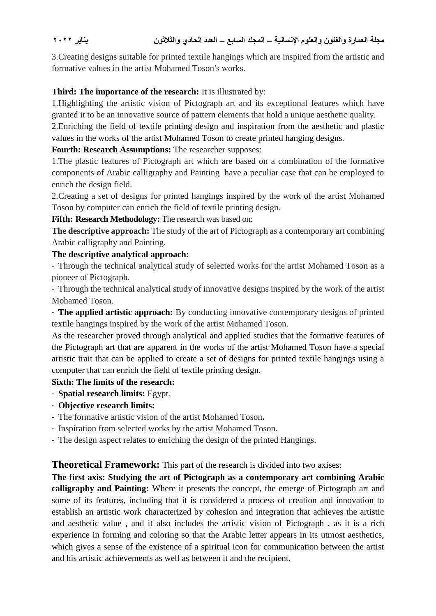3.Creating designs suitable for printed textile hangings which are inspired from the artistic and formative values in the artist Mohamed Toson′s works.

# **Third: The importance of the research:** It is illustrated by:

1.Highlighting the artistic vision of Pictograph art and its exceptional features which have granted it to be an innovative source of pattern elements that hold a unique aesthetic quality.

2.Enriching the field of textile printing design and inspiration from the aesthetic and plastic values in the works of the artist Mohamed Toson to create printed hanging designs.

## **Fourth: Research Assumptions:** The researcher supposes:

1.The plastic features of Pictograph art which are based on a combination of the formative components of Arabic calligraphy and Painting have a peculiar case that can be employed to enrich the design field.

2.Creating a set of designs for printed hangings inspired by the work of the artist Mohamed Toson by computer can enrich the field of textile printing design.

**Fifth: Research Methodology:** The research was based on:

**The descriptive approach:** The study of the art of Pictograph as a contemporary art combining Arabic calligraphy and Painting.

## **The descriptive analytical approach:**

- Through the technical analytical study of selected works for the artist Mohamed Toson as a pioneer of Pictograph.

- Through the technical analytical study of innovative designs inspired by the work of the artist Mohamed Toson.

- **The applied artistic approach:** By conducting innovative contemporary designs of printed textile hangings inspired by the work of the artist Mohamed Toson.

As the researcher proved through analytical and applied studies that the formative features of the Pictograph art that are apparent in the works of the artist Mohamed Toson have a special artistic trait that can be applied to create a set of designs for printed textile hangings using a computer that can enrich the field of textile printing design.

## **Sixth: The limits of the research:**

- **Spatial research limits:** Egypt.
- **Objective research limits:**
- The formative artistic vision of the artist Mohamed Toson**.**
- Inspiration from selected works by the artist Mohamed Toson.
- The design aspect relates to enriching the design of the printed Hangings.

## **Theoretical Framework:** This part of the research is divided into two axises:

**The first axis: Studying the art of Pictograph as a contemporary art combining Arabic calligraphy and Painting:** Where it presents the concept, the emerge of Pictograph art and some of its features, including that it is considered a process of creation and innovation to establish an artistic work characterized by cohesion and integration that achieves the artistic and aesthetic value , and it also includes the artistic vision of Pictograph , as it is a rich experience in forming and coloring so that the Arabic letter appears in its utmost aesthetics, which gives a sense of the existence of a spiritual icon for communication between the artist and his artistic achievements as well as between it and the recipient.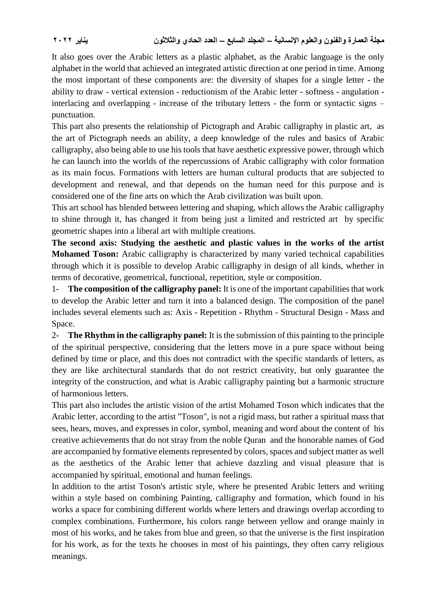It also goes over the Arabic letters as a plastic alphabet, as the Arabic language is the only alphabet in the world that achieved an integrated artistic direction at one period in time. Among the most important of these components are: the diversity of shapes for a single letter - the ability to draw - vertical extension - reductionism of the Arabic letter - softness - angulation interlacing and overlapping - increase of the tributary letters - the form or syntactic signs – punctuation.

This part also presents the relationship of Pictograph and Arabic calligraphy in plastic art, as the art of Pictograph needs an ability, a deep knowledge of the rules and basics of Arabic calligraphy, also being able to use his tools that have aesthetic expressive power, through which he can launch into the worlds of the repercussions of Arabic calligraphy with color formation as its main focus. Formations with letters are human cultural products that are subjected to development and renewal, and that depends on the human need for this purpose and is considered one of the fine arts on which the Arab civilization was built upon.

This art school has blended between lettering and shaping, which allows the Arabic calligraphy to shine through it, has changed it from being just a limited and restricted art by specific geometric shapes into a liberal art with multiple creations.

**The second axis: Studying the aesthetic and plastic values in the works of the artist Mohamed Toson:** Arabic calligraphy is characterized by many varied technical capabilities through which it is possible to develop Arabic calligraphy in design of all kinds, whether in terms of decorative, geometrical, functional, repetition, style or composition.

1- **The composition of the calligraphy panel:** It is one of the important capabilities that work to develop the Arabic letter and turn it into a balanced design. The composition of the panel includes several elements such as: Axis - Repetition - Rhythm - Structural Design - Mass and Space.

2- **The Rhythm in the calligraphy panel:** It is the submission of this painting to the principle of the spiritual perspective, considering that the letters move in a pure space without being defined by time or place, and this does not contradict with the specific standards of letters, as they are like architectural standards that do not restrict creativity, but only guarantee the integrity of the construction, and what is Arabic calligraphy painting but a harmonic structure of harmonious letters.

This part also includes the artistic vision of the artist Mohamed Toson which indicates that the Arabic letter, according to the artist "Toson", is not a rigid mass, but rather a spiritual mass that sees, hears, moves, and expresses in color, symbol, meaning and word about the content of his creative achievements that do not stray from the noble Quran and the honorable names of God are accompanied by formative elements represented by colors, spaces and subject matter as well as the aesthetics of the Arabic letter that achieve dazzling and visual pleasure that is accompanied by spiritual, emotional and human feelings.

In addition to the artist Toson's artistic style, where he presented Arabic letters and writing within a style based on combining Painting, calligraphy and formation, which found in his works a space for combining different worlds where letters and drawings overlap according to complex combinations. Furthermore, his colors range between yellow and orange mainly in most of his works, and he takes from blue and green, so that the universe is the first inspiration for his work, as for the texts he chooses in most of his paintings, they often carry religious meanings.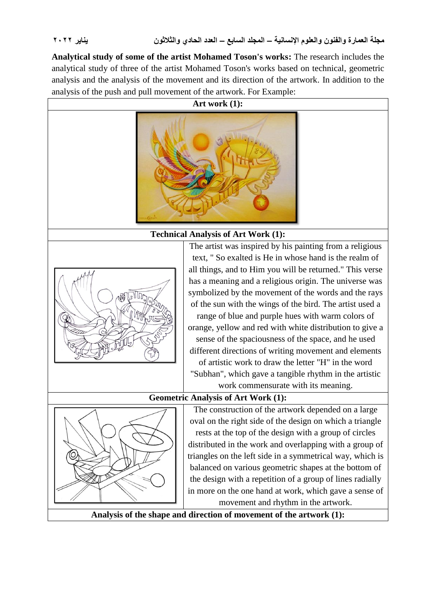**Analytical study of some of the artist Mohamed Toson's works:** The research includes the analytical study of three of the artist Mohamed Toson's works based on technical, geometric analysis and the analysis of the movement and its direction of the artwork. In addition to the analysis of the push and pull movement of the artwork. For Example:

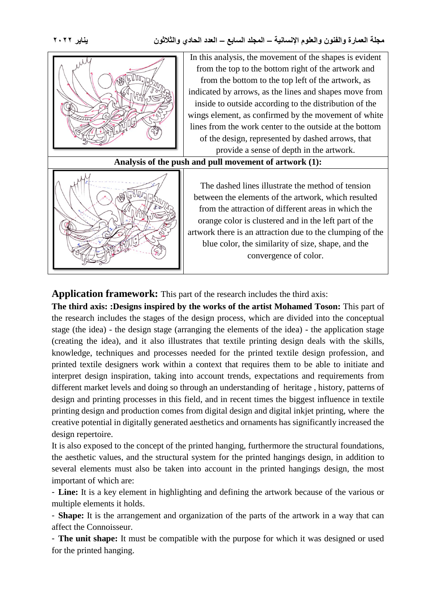

#### **Application framework:** This part of the research includes the third axis:

**The third axis: :Designs inspired by the works of the artist Mohamed Toson:** This part of the research includes the stages of the design process, which are divided into the conceptual stage (the idea) - the design stage (arranging the elements of the idea) - the application stage (creating the idea), and it also illustrates that textile printing design deals with the skills, knowledge, techniques and processes needed for the printed textile design profession, and printed textile designers work within a context that requires them to be able to initiate and interpret design inspiration, taking into account trends, expectations and requirements from different market levels and doing so through an understanding of heritage , history, patterns of design and printing processes in this field, and in recent times the biggest influence in textile printing design and production comes from digital design and digital inkjet printing, where the creative potential in digitally generated aesthetics and ornaments has significantly increased the design repertoire.

It is also exposed to the concept of the printed hanging, furthermore the structural foundations, the aesthetic values, and the structural system for the printed hangings design, in addition to several elements must also be taken into account in the printed hangings design, the most important of which are:

- **Line:** It is a key element in highlighting and defining the artwork because of the various or multiple elements it holds.

- **Shape:** It is the arrangement and organization of the parts of the artwork in a way that can affect the Connoisseur.

- **The unit shape:** It must be compatible with the purpose for which it was designed or used for the printed hanging.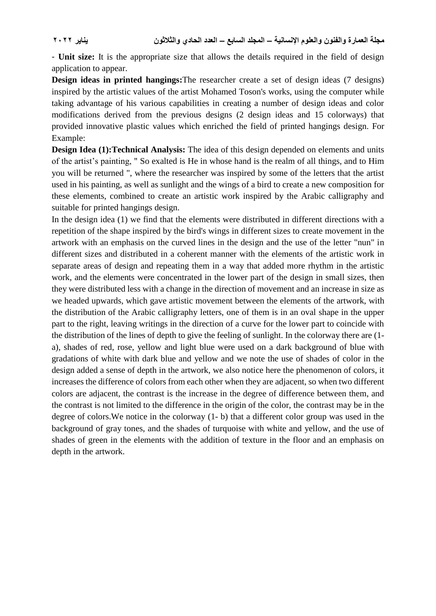- **Unit size:** It is the appropriate size that allows the details required in the field of design application to appear.

**Design ideas in printed hangings:**The researcher create a set of design ideas (7 designs) inspired by the artistic values of the artist Mohamed Toson's works, using the computer while taking advantage of his various capabilities in creating a number of design ideas and color modifications derived from the previous designs (2 design ideas and 15 colorways) that provided innovative plastic values which enriched the field of printed hangings design. For Example:

**Design Idea (1):Technical Analysis:** The idea of this design depended on elements and units of the artist's painting, " So exalted is He in whose hand is the realm of all things, and to Him you will be returned ", where the researcher was inspired by some of the letters that the artist used in his painting, as well as sunlight and the wings of a bird to create a new composition for these elements, combined to create an artistic work inspired by the Arabic calligraphy and suitable for printed hangings design.

In the design idea (1) we find that the elements were distributed in different directions with a repetition of the shape inspired by the bird's wings in different sizes to create movement in the artwork with an emphasis on the curved lines in the design and the use of the letter "nun" in different sizes and distributed in a coherent manner with the elements of the artistic work in separate areas of design and repeating them in a way that added more rhythm in the artistic work, and the elements were concentrated in the lower part of the design in small sizes, then they were distributed less with a change in the direction of movement and an increase in size as we headed upwards, which gave artistic movement between the elements of the artwork, with the distribution of the Arabic calligraphy letters, one of them is in an oval shape in the upper part to the right, leaving writings in the direction of a curve for the lower part to coincide with the distribution of the lines of depth to give the feeling of sunlight. In the colorway there are (1 a), shades of red, rose, yellow and light blue were used on a dark background of blue with gradations of white with dark blue and yellow and we note the use of shades of color in the design added a sense of depth in the artwork, we also notice here the phenomenon of colors, it increases the difference of colors from each other when they are adjacent, so when two different colors are adjacent, the contrast is the increase in the degree of difference between them, and the contrast is not limited to the difference in the origin of the color, the contrast may be in the degree of colors.We notice in the colorway (1- b) that a different color group was used in the background of gray tones, and the shades of turquoise with white and yellow, and the use of shades of green in the elements with the addition of texture in the floor and an emphasis on depth in the artwork.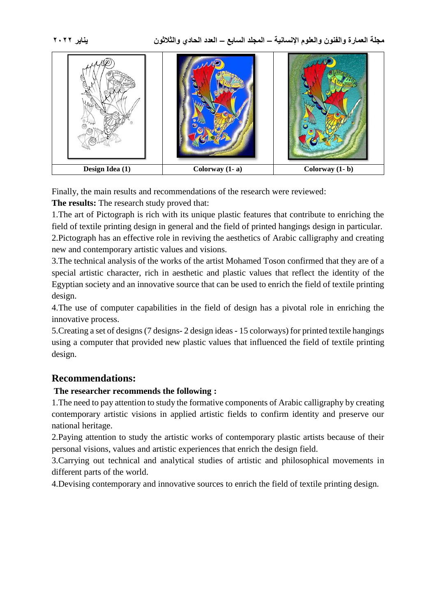

Finally, the main results and recommendations of the research were reviewed:

**The results:** The research study proved that:

1.The art of Pictograph is rich with its unique plastic features that contribute to enriching the field of textile printing design in general and the field of printed hangings design in particular. 2.Pictograph has an effective role in reviving the aesthetics of Arabic calligraphy and creating new and contemporary artistic values and visions.

3.The technical analysis of the works of the artist Mohamed Toson confirmed that they are of a special artistic character, rich in aesthetic and plastic values that reflect the identity of the Egyptian society and an innovative source that can be used to enrich the field of textile printing design.

4.The use of computer capabilities in the field of design has a pivotal role in enriching the innovative process.

5.Creating a set of designs (7 designs- 2 design ideas - 15 colorways) for printed textile hangings using a computer that provided new plastic values that influenced the field of textile printing design.

# **Recommendations:**

## **The researcher recommends the following :**

1.The need to pay attention to study the formative components of Arabic calligraphy by creating contemporary artistic visions in applied artistic fields to confirm identity and preserve our national heritage.

2.Paying attention to study the artistic works of contemporary plastic artists because of their personal visions, values and artistic experiences that enrich the design field.

3.Carrying out technical and analytical studies of artistic and philosophical movements in different parts of the world.

4.Devising contemporary and innovative sources to enrich the field of textile printing design.